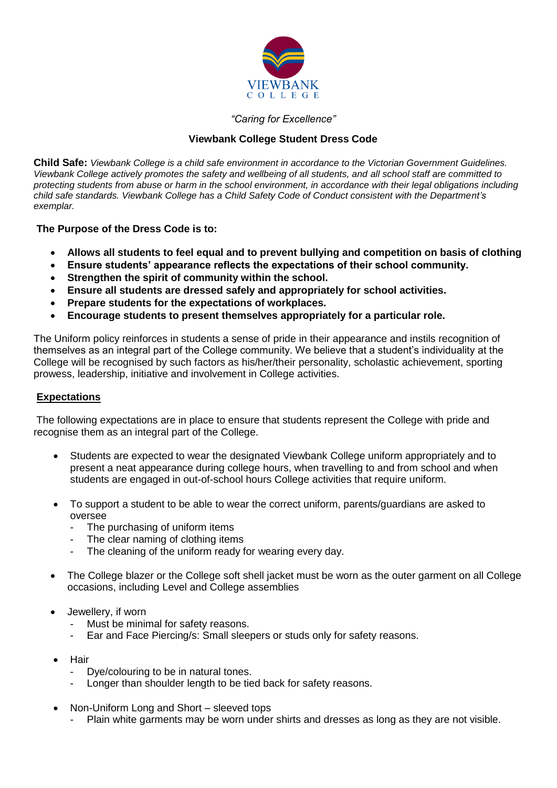

#### *"Caring for Excellence"*

#### **Viewbank College Student Dress Code**

**Child Safe:** *Viewbank College is a child safe environment in accordance to the Victorian Government Guidelines. Viewbank College actively promotes the safety and wellbeing of all students, and all school staff are committed to protecting students from abuse or harm in the school environment, in accordance with their legal obligations including child safe standards. Viewbank College has a Child Safety Code of Conduct consistent with the Department's exemplar.*

**The Purpose of the Dress Code is to:**

- **Allows all students to feel equal and to prevent bullying and competition on basis of clothing**
- **Ensure students' appearance reflects the expectations of their school community.**
- **Strengthen the spirit of community within the school.**
- **Ensure all students are dressed safely and appropriately for school activities.**
- **Prepare students for the expectations of workplaces.**
- **Encourage students to present themselves appropriately for a particular role.**

The Uniform policy reinforces in students a sense of pride in their appearance and instils recognition of themselves as an integral part of the College community. We believe that a student's individuality at the College will be recognised by such factors as his/her/their personality, scholastic achievement, sporting prowess, leadership, initiative and involvement in College activities.

#### **Expectations**

The following expectations are in place to ensure that students represent the College with pride and recognise them as an integral part of the College.

- Students are expected to wear the designated Viewbank College uniform appropriately and to present a neat appearance during college hours, when travelling to and from school and when students are engaged in out-of-school hours College activities that require uniform.
- To support a student to be able to wear the correct uniform, parents/guardians are asked to oversee
	- The purchasing of uniform items
	- The clear naming of clothing items
	- The cleaning of the uniform ready for wearing every day.
- The College blazer or the College soft shell jacket must be worn as the outer garment on all College occasions, including Level and College assemblies
- Jewellery, if worn
	- Must be minimal for safety reasons.
	- Ear and Face Piercing/s: Small sleepers or studs only for safety reasons.
- Hair
	- Dye/colouring to be in natural tones.
	- Longer than shoulder length to be tied back for safety reasons.
- Non-Uniform Long and Short sleeved tops
	- Plain white garments may be worn under shirts and dresses as long as they are not visible.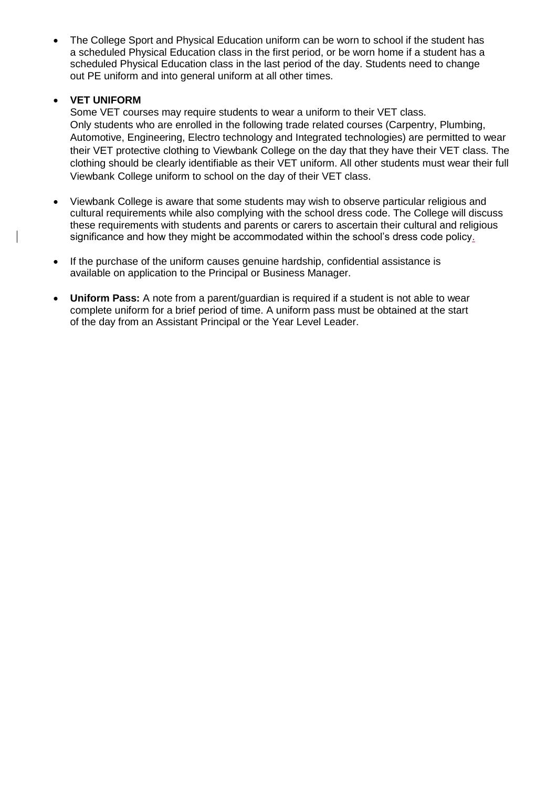The College Sport and Physical Education uniform can be worn to school if the student has a scheduled Physical Education class in the first period, or be worn home if a student has a scheduled Physical Education class in the last period of the day. Students need to change out PE uniform and into general uniform at all other times.

#### **VET UNIFORM**

Some VET courses may require students to wear a uniform to their VET class. Only students who are enrolled in the following trade related courses (Carpentry, Plumbing, Automotive, Engineering, Electro technology and Integrated technologies) are permitted to wear their VET protective clothing to Viewbank College on the day that they have their VET class. The clothing should be clearly identifiable as their VET uniform. All other students must wear their full Viewbank College uniform to school on the day of their VET class.

- Viewbank College is aware that some students may wish to observe particular religious and cultural requirements while also complying with the school dress code. The College will discuss these requirements with students and parents or carers to ascertain their cultural and religious significance and how they might be accommodated within the school's dress code policy.
- If the purchase of the uniform causes genuine hardship, confidential assistance is available on application to the Principal or Business Manager.
- **Uniform Pass:** A note from a parent/guardian is required if a student is not able to wear complete uniform for a brief period of time. A uniform pass must be obtained at the start of the day from an Assistant Principal or the Year Level Leader.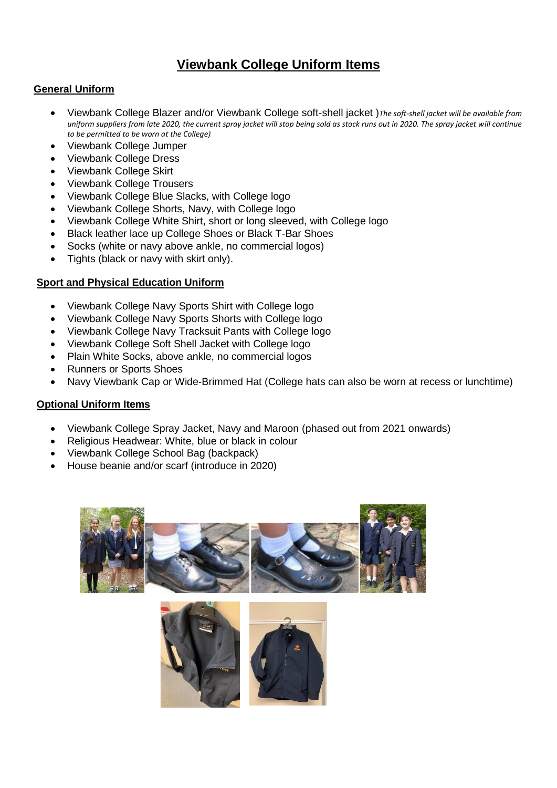# **Viewbank College Uniform Items**

#### **General Uniform**

- Viewbank College Blazer and/or Viewbank College soft-shell jacket )*The soft-shell jacket will be available from uniform suppliers from late 2020, the current spray jacket will stop being sold as stock runs out in 2020. The spray jacket will continue to be permitted to be worn at the College)*
- Viewbank College Jumper
- Viewbank College Dress
- Viewbank College Skirt
- Viewbank College Trousers
- Viewbank College Blue Slacks, with College logo
- Viewbank College Shorts, Navy, with College logo
- Viewbank College White Shirt, short or long sleeved, with College logo
- Black leather lace up College Shoes or Black T-Bar Shoes
- Socks (white or navy above ankle, no commercial logos)
- Tights (black or navy with skirt only).

#### **Sport and Physical Education Uniform**

- Viewbank College Navy Sports Shirt with College logo
- Viewbank College Navy Sports Shorts with College logo
- Viewbank College Navy Tracksuit Pants with College logo
- Viewbank College Soft Shell Jacket with College logo
- Plain White Socks, above ankle, no commercial logos
- Runners or Sports Shoes
- Navy Viewbank Cap or Wide-Brimmed Hat (College hats can also be worn at recess or lunchtime)

#### **Optional Uniform Items**

- Viewbank College Spray Jacket, Navy and Maroon (phased out from 2021 onwards)
- Religious Headwear: White, blue or black in colour
- Viewbank College School Bag (backpack)
- House beanie and/or scarf (introduce in 2020)